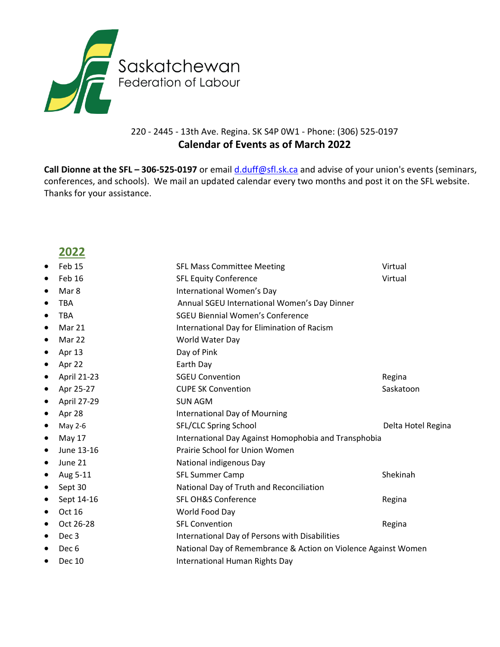

#### 220 - 2445 - 13th Ave. Regina. SK S4P 0W1 - Phone: (306) 525-0197 **Calendar of Events as of March 2022**

**Call Dionne at the SFL - 306-525-0197** or email *[d.duff@sfl.sk.ca](mailto:d.duff@sfl.sk.ca)* and advise of your union's events (seminars, conferences, and schools). We mail an updated calendar every two months and post it on the SFL website. Thanks for your assistance.

### **2022**

| Feb 15<br>٠                   | <b>SFL Mass Committee Meeting</b>                              | Virtual            |
|-------------------------------|----------------------------------------------------------------|--------------------|
| Feb 16<br>٠                   | <b>SFL Equity Conference</b>                                   | Virtual            |
| Mar 8<br>$\bullet$            | International Women's Day                                      |                    |
| <b>TBA</b><br>٠               | Annual SGEU International Women's Day Dinner                   |                    |
| <b>TBA</b><br>$\bullet$       | <b>SGEU Biennial Women's Conference</b>                        |                    |
| Mar 21<br>$\bullet$           | International Day for Elimination of Racism                    |                    |
| Mar 22<br>$\bullet$           | World Water Day                                                |                    |
| Apr 13<br>$\bullet$           | Day of Pink                                                    |                    |
| Apr 22<br>$\bullet$           | Earth Day                                                      |                    |
| April 21-23<br>$\bullet$      | <b>SGEU Convention</b>                                         | Regina             |
| Apr 25-27<br>$\bullet$        | <b>CUPE SK Convention</b>                                      | Saskatoon          |
| April 27-29<br>$\bullet$      | <b>SUN AGM</b>                                                 |                    |
| Apr 28<br>$\bullet$           | <b>International Day of Mourning</b>                           |                    |
| May 2-6<br>$\bullet$          | SFL/CLC Spring School                                          | Delta Hotel Regina |
| May 17<br>$\bullet$           | International Day Against Homophobia and Transphobia           |                    |
| June 13-16<br>$\bullet$       | Prairie School for Union Women                                 |                    |
| June 21<br>$\bullet$          | National indigenous Day                                        |                    |
| Aug 5-11<br>$\bullet$         | <b>SFL Summer Camp</b>                                         | Shekinah           |
| Sept 30<br>$\bullet$          | National Day of Truth and Reconciliation                       |                    |
| Sept 14-16<br>$\bullet$       | <b>SFL OH&amp;S Conference</b>                                 | Regina             |
| Oct 16<br>$\bullet$           | World Food Day                                                 |                    |
| Oct 26-28<br>$\bullet$        | <b>SFL Convention</b>                                          | Regina             |
| Dec <sub>3</sub><br>$\bullet$ | International Day of Persons with Disabilities                 |                    |
| Dec <sub>6</sub><br>$\bullet$ | National Day of Remembrance & Action on Violence Against Women |                    |
| Dec 10<br>$\bullet$           | International Human Rights Day                                 |                    |